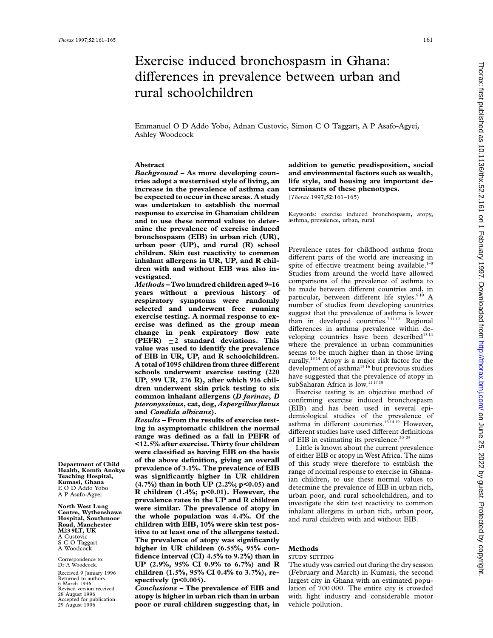# Exercise induced bronchospasm in Ghana: differences in prevalence between urban and rural schoolchildren

Emmanuel O D Addo Yobo, Adnan Custovic, Simon C O Taggart, A P Asafo-Agyei, Ashley Woodcock

**tries adopt a westernised style of living, an life style, and housing are important deincrease in the prevalence of asthma can terminants of these phenotypes. be expected to occur in these areas. A study** (*Thorax* 1997;**52**:161–165) **was undertaken to establish the normal response to exercise in Ghanaian children** Keywords: exercise induced bronchospasm, atopy, and to use these normal values to deter-<br>asthma, prevalence, urban, rural. and to use these normal values to deter**mine the prevalence of exercise induced bronchospasm (EIB) in urban rich (UR), urban poor (UP), and rural (R) school**<br> **children. Skin test reactivity to common**<br> **inhalant allergens in UR, UP, and R chil-**<br> **different parts of the world are increasing in<br>
dren with and without EIB was also in-**<br>

(PEFR)  $\pm 2$  standard deviations. This well counties have been described<br>value was used to identify the prevalence where the prevalence in urban communities<br>of EIB in UR, UP, and R schoolchildren.<br>A total of 1095 childre

Exactly and the correct control of the shown about the current prevalence<br>
Department of Child<br>
Health, Komfo Anokye<br>
Health, Komfo Anokye<br>
Health, Komfo Anokye Health, Komfo Anokye<br>
Teaching Hospital, was significantly higher in UR children<br>
Eaching Hospital, was significantly higher in UR children<br>
E O D Addo Yobo (4.7%) than in both UP (2.2%; p<0.05) and<br>
E O D Addo Yobo R chi A P Asafo-Agyei<br> **K Children** (1.4%; p<0.01). However, the<br>
prevalence rates in the UP and R children<br>
North West Lung<br>
were similar. The prevalence of atopy in<br>
Centre, Wythenshawe<br>
Hospital, Southmoor<br>
Hospital, Southmoo **Hospital, Southmoor the whole population was 4.4%. Of the Road, Manchester children with EIB, 10% were skin test pos-Road, Manchester children with EIB, 10% were skin test pos-M23 9LT, UK**<br>
A Custovic **ity it is a straight of the allergens tested.**<br>
A C O Taggart **The prevalence of atopy was significantly**<br>
A Woodcock **higher in UR children (6.55%, 95% con**higher in UR children (6.55%, 95% con- Methods **fidence interval (CI) 4.5% to 9.2%) than in** STUDY SETTING<br>Dr A Woodcock. **LIP (2.9%, 95% CI 0.9% to 6.7%) and R** The study was carried out during the dry season UP (2.9%, 95% CI 0.9% to 6.7%) and R Received 9 January 1996 **children (1.5%, 95% CI 0.4% to 3.7%), re-** (February and March) in Kumasi, the second Returned to authors **spectively (p<0.005).** The second largest city in Ghana with an estimated populations and

Revised version received **Conclusions – The prevalence of EIB and** 28 August 1996. poor or rural children suggesting that, in

**Abstract addition to genetic predisposition, social** *Background –* **As more developing coun- and environmental factors such as wealth,**

**dren with and without EIB was also in-**<br>**Studies from around the world have allowed**<br>**Mathodo.** Two hundred obildren area 0, 16 comparisons of the prevalence of asthma to *Methods* - Two hundred children aged 9-16 comparisons of the prevalence of asthma to<br>years without a previous history of be made between different countries and, in<br>respiratory symptoms were randomly particular, between

dren underwent skin prick testing to six<br>
dren underwent skin prick testing to six<br>
common inhalant allergens (*D farinae*, *D*<br> *Exercise* testing is an objective method of<br> *pteronyssinus*, cat, dog, *Aspergillus flavus* 

Returned to authors **spectively (p<0.005).** largest city in Ghana with an estimated popu-<br>  $\frac{6 \text{ March 1996}}{\text{Revised version received}}$  **Conclusions – The prevalence of EIB and** lation of 700 000. The entire city is crowded <sup>28 August 1996</sup> **atopy is higher in urban rich than in urban** with light industry and considerable motor Accepted for publication<br>
29 August 1996 **poor or rural children suggesting that, in** vehicle pollution.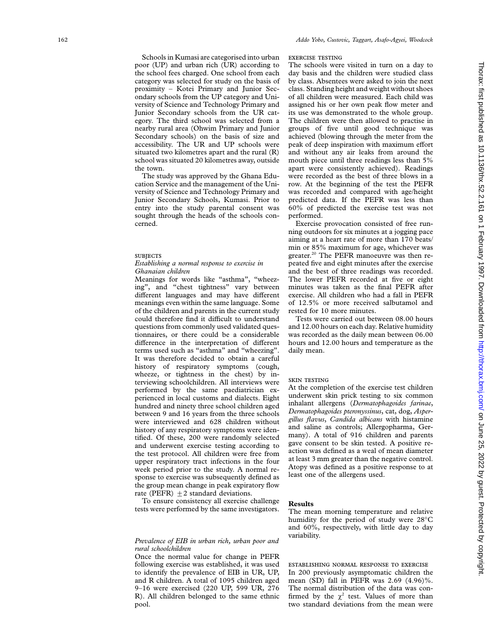Schools in Kumasi are categorised into urban EXERCISE TESTING poor (UP) and urban rich (UR) according to The schools were visited in turn on a day to the school fees charged. One school from each day basis and the children were studied class category was selected for study on the basis of by class. Absentees were asked to join the next proximity – Kotei Primary and Junior Sec- class. Standing height and weight without shoes ondary schools from the UP category and Uni- of all children were measured. Each child was versity of Science and Technology Primary and assigned his or her own peak flow meter and Junior Secondary schools from the UR cat- its use was demonstrated to the whole group. egory. The third school was selected from a The children were then allowed to practise in nearby rural area (Ohwim Primary and Junior groups of five until good technique was Secondary schools) on the basis of size and achieved (blowing through the meter from the accessibility. The UR and UP schools were situated two kilometres apart and the rural (R) and without any air leaks from around the school was situated 20 kilometres away, outside mouth piece until three readings less than 5% the town. apart were consistently achieved). Readings

cation Service and the management of the Uni-<br>versity of Science and Technology Primary and<br>was recorded and compared with age/height Junior Secondary Schools, Kumasi. Prior to entry into the study parental consent was 60% of predicted the exercise test was not sought through the heads of the schools con- performed. cerned. Exercise provocation consisted of free run-

ing", and "chest tightness" vary between di fferent languages and may have di meanings even within the same language. Some of 12.5% or more received salbutamol and of the children and parents in the current study rested for 10 more minutes. could therefore find it di questions from commonly used validated ques- and 12.00 hours on each day. Relative humidity tionnaires, or there could be a considerable was recorded as the daily mean between 06.00 di fference in the interpretation of di terms used such as "asthma" and "wheezing". daily mean. It was therefore decided to obtain a careful history of respiratory symptoms (cough, wheeze, or tightness in the chest) by in extra FISTING<br>performed by the same paediatrician ex-<br>performed by the same paediatrician ex-<br>performed in local customs and dialects. Eight underwent skin prick testing to six common<br>perienced in local customs and dialect history of any respiratory symptoms were iden-<br>tified. Of these, 200 were randomly selected many). A total of 916 children and parents<br>and underwent exercise testing according to gave consent to be skin tested. A positive the group mean change in peak expiratory flow rate (PEFR)  $\pm 2$  standard deviations.

To ensure consistency all exercise challenge **Results** tests were performed by the same investigators. The mean morning temperature and relative

## variability. *Prevalence of EIB in urban rich, urban poor and rural schoolchildren*

Once the normal value for change in PEFR following exercise was established, it was used to identify the prevalence of EIB in UR, UP, In 200 previously asymptomatic children the and R children. A total of 1095 children aged mean (SD) fall in PEFR was 2.69 (4.96)%. 9–16 were exercised (220 UP, 599 UR, 276 The normal distribution of the data was con-R). All children belonged to the same ethnic firmed by the  $\chi^2$  test. Values of more than pool. two standard deviations from the mean were

achieved (blowing through the meter from the peak of deep inspiration with maximum effort The study was approved by the Ghana Edu- were recorded as the best of three blows in a was recorded and compared with age/height predicted data. If the PEFR was less than

ning outdoors for six minutes at a jogging pace aiming at a heart rate of more than 170 beats/ min or 85% maximum for age, whichever was subjects<br>Establishing a normal response to exercise in the peated five and eight minutes after the exercise *Establishing a normal response to exercise in* peated five and eight minutes after the exercise *Ghanaian children* and the best of three readings was recorded.<br>
Meanings for words like "asthma", "wheez- The lower PEFR recorded at five or eight The lower PEFR recorded at five or eight minutes was taken as the final PEFR after exercise. All children who had a fall in PEFR

> Tests were carried out between 08.00 hours hours and 12.00 hours and temperature as the

humidity for the period of study were 28°C and 60%, respectively, with little day to day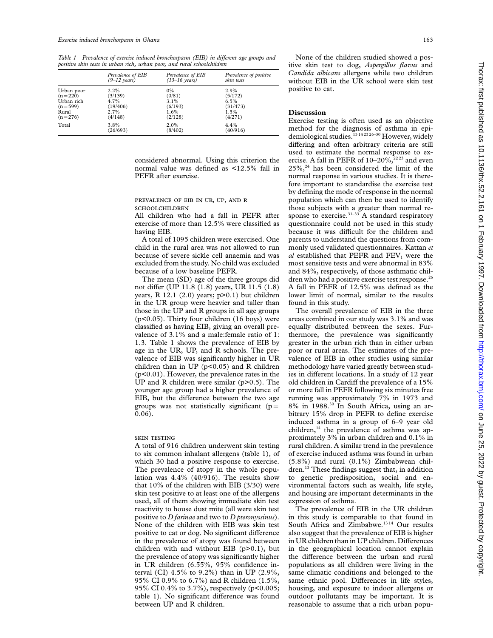*Table 1 Prevalence of exercise induced bronchospasm (EIB) in different age groups and* None of the children studied showed a pos-<br>*positive skin tests in urban rich, urban poor, and rural schoolchildren* if the stim test

|            | Prevalence of EIB      | Prevalence of EIB       | Prevalence of positive |
|------------|------------------------|-------------------------|------------------------|
|            | $(9-12 \text{ years})$ | $(13-16 \text{ years})$ | skin tests             |
| Urban poor | $2.2\%$                | $0\%$                   | 2.9%                   |
| $(n=220)$  | (3/139)                | (0/81)                  | (5/172)                |
| Urban rich | 4.7%                   | $3.1\%$                 | $6.5\%$                |
| $(n=599)$  | (19/406)               | (6/193)                 | (31/473)               |
| Rural      | $2.7\%$                | $1.6\%$                 | $1.5\%$                |
| $(n=276)$  | (4/148)                | (2/128)                 | (4/271)                |
| Total      | 3.8%                   | $2.0\%$                 | 4.4%                   |
|            | (26/693)               | (8/402)                 | (40/916)               |

exercise of more than 12.5% were classified as questionnaire could not be used in this study having EIB. **because it was difficult** for the children and

not differ (UP 11.8  $(1.8)$  years, UR 11.5  $(1.8)$  A fall in PEFR of 12.5% was defined as the years, R 12.1 (2.0) years; p>0.1) but children lower limit of normal, similar to the results in the UR group were heavier and taller than found in this study. those in the UP and R groups in all age groups The overall prevalence of EIB in the three (p<0.05). Thirty four children (16 boys) were areas combined in our study was 3.1% and was classified as having EIB, giving an overall pre- equally distributed between the sexes. Furvalence of 3.1% and a male:female ratio of 1: thermore, the prevalence was significantly 1.3. Table 1 shows the prevalence of EIB by greater in the urban rich than in either urban age in the UR, UP, and R schools. The pre- poor or rural areas. The estimates of the prevalence of EIB was significantly higher in UR valence of EIB in other studies using similar children than in UP ( $p<0.05$ ) and R children methodology have varied greatly between stud-(p<0.01). However, the prevalence rates in the ies in different locations. In a study of 12 year UP and R children were similar ( $p > 0.5$ ). The old children in Cardiff the prevalence of a 15% younger age group had a higher prevalence of or more fall in PEFR following six minutes free EIB, but the difference between the two age running was approximately 7% in 1973 and groups was not statistically significant ( $p= 8\%$  in 1988.<sup>30</sup> In South Africa, using an ar-0.06). bitrary 15% drop in PEFR to define exercise

A total of 916 children underwent skin testing rural children. A similar trend in the prevalence to six common inhalant allergens (table 1), of of exercise induced asthma was found in urban which 30 had a positive response to exercise.  $(5.8\%)$  and rural  $(0.1\%)$  Zimbabwean chil-The prevalence of atopy in the whole popu- dren.<sup>13</sup> These findings suggest that, in addition lation was 4.4% (40/916). The results show to genetic predisposition, social and enthat 10% of the children with EIB (3/30) were vironmental factors such as wealth, life style, skin test positive to at least one of the allergens and housing are important determinants in the used, all of them showing immediate skin test expression of asthma. reactivity to house dust mite (all were skin test The prevalence of EIB in the UR children positive to  $D$  farinae and two to  $D$  pteronyssinus). in this study is comparable to that found in None of the children with EIB was skin test South Africa and Zimbabwe.<sup>1314</sup> Our results positive to cat or dog. No significant difference also suggest that the prevalence of EIB is higher in the prevalence of atopy was found between in UR children than in UP children. Differences children with and without EIB  $(p>0.1)$ , but in the geographical location cannot explain the prevalence of atopy was significantly higher the difference between the urban and rural in UR children (6.55%, 95% confidence in-<br>terval (CI)  $4.5\%$  to  $9.2\%$ ) than in UP (2.9%, same climatic conditions and belonged to the 95% CI 0.9% to 6.7%) and R children (1.5%, same ethnic pool. Differences in life styles, 95% CI 0.4% to 3.7%), respectively ( $p<0.005$ ; housing, and exposure to indoor allergens or table 1). No significant difference was found outdoor pollutants may be important. It is between UP and R children. The reasonable to assume that a rich urban popu-

*itive skin test to dog, Aspergillus flavus and Candida albicans* allergens while two children without EIB in the UR school were skin test positive to cat.

## Discussion

Exercise testing is often used as an objective method for the diagnosis of asthma in epidemiological studies.<sup>13 14 23 26-30</sup> However, widely differing and often arbitrary criteria are still used to estimate the normal response to exconsidered abnormal. Using this criterion the ercise. A fall in PEFR of  $10-20\frac{\%}{22}^{22.23}$  and even normal value was defined as  $\langle 12.5\%$  fall in 25%,<sup>24</sup> has been considered the limit of the PEFR after exercise. The settlem is normal response in various studies. It is therefore important to standardise the exercise test by defining the mode of response in the normal PREVALENCE OF EIB IN UR, UP, AND R population which can then be used to identify school CHILDREN those subjects with a greater than normal re-All children who had a fall in PEFR after sponse to exercise.<sup>31–33</sup> A standard respiratory A total of 1095 children were exercised. One parents to understand the questions from comchild in the rural area was not allowed to run monly used validated questionnaires. Kattan *et* because of severe sickle cell anaemia and was *al* established that PEFR and FEV<sub>1</sub> were the excluded from the study. No child was excluded most sensitive tests and were abnormal in 83% because of a low baseline PEFR. and 84%, respectively, of those asthmatic chil-The mean (SD) age of the three groups did dren who had a positive exercise test response.<sup>26</sup>

induced asthma in a group of 6–9 year old children, $14$  the prevalence of asthma was ap-proximately 3% in urban children and 0.1% in

> in this study is comparable to that found in same climatic conditions and belonged to the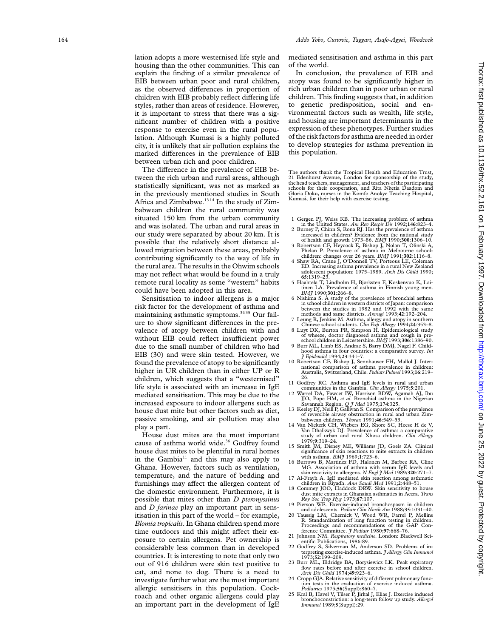housing than the other communities. This can of the world. explain the finding of a similar prevalence of In conclusion, the prevalence of EIB and EIB between urban poor and rural children, atopy was found to be significantly higher in as the observed differences in proportion of children with EIB probably reflect di styles, rather than areas of residence. However, to genetic predisposition, social and en-<br>it is important to stress that there was a sig- vironmental factors such as wealth, life style, it is important to stress that there was a significant number of children with a positive and housing are important determinants in the response to exercise even in the rural popu-<br>lation. Although Kumasi is a highly polluted of the risk factors for asthma are needed in order lation. Although Kumasi is a highly polluted of the risk factors for asthma are needed in order<br>city, it is unlikely that air pollution explains the to develop strategies for asthma prevention in city, it is unlikely that air pollution explains the to develop strate<br>marked differences in the prevalence of  $EIR$  this population. marked di fferences in the prevalence of EIB this population. between urban rich and poor children.

The difference in the prevalence of EIB be-I he difference in the prevalence of EIB be-<br>the authors thank the Tropical Health and Education Trust,<br>tween the rich urban and rural areas, although 21 Edenhurst Avenue, London for sponsorship of the study, statistically significant, was not as marked as the nead teachers, management, and teachers or the participating<br>in the previously mentioned studies in South Gloria Doku, nurses in the Komfo Anokye Teaching Hospital, Africa and Zimbabwe.<sup>1314</sup> In the study of Zim-<br>Kumasi, for their help with exercise testing. babwean children the rural community was situated 150 km from the urban community 1 Gergen PJ, Weiss KB. The increasing problem of asthma<br>and west isolated. The urban and mural areas in in the United States. Am Rev Respir Dis 1992:146:823-4. and was isolated. The urban and rural areas in<br>
our study were separated by about 20 km. It is<br>
increased in children? Evidence from the national study<br>
our study were separated by about 20 km. It is possible that the relatively short distance al-<br>lowed migration between these areas, probably<br>Delan P. Prevalence of asistma in Melbourne school-<br>phelan P. Prevalence of asistma in Melbourne schoolcontributing significantly to the way of life in didlern: changes over 26 years. *BMJ* 1991;302:1116–8.<br>contributing significantly to the way of life in 4 Shaw RA, Crane J, O'Donnell TV, Porteous LE, Coleman<br>ED. Increasing the rural area. The results in the Ohwim schools<br>may not reflect what would be found in a truly adolescent population: 1975–1989. Arch Dis Child 1990; may not reflect what would be found in a truly remote rural locality as some "western" habits 5 Haahtela T, Lindholm H, Bjorksten F, Koskenvuo K, Laitimen LA. Prevalence ould have been adopted in this area.<br>
Sensitisation to indoor allergens is a major 6 Nishima S. A study of the Sensitisation to indoor allergens is a major

Sensitisation to indoor allergens is a major 6 Nishima S. A study of the prevalence of bronchial asthma<br>
risk factor for the development of asthma and ischool children in western districts of Japan: comparison<br>
between the maintaining asthmatic symptoms. methods and same districts. *Arerugi* 1993;**42**:192–204. 34 35 Our fail-The UT Allergy and atopy in southern ure to show significant differences in the pre-<br>
Valence of atopy between children with and <sup>8</sup> Luyt DK, Burton PR, Simpson H. Epidemiological study valence of atopy between children with and 8 Luyt DK, Burton PR, Simpson H. Epidemiological study<br>of wheeze, doctor diagnosed asthma and cough in prewithout EIB could reflect insufficient power<br>due to the small number of children who had<br><sup>9</sup> Burr ML, Limb ES, Andrae S, Barry DMJ, Nagel F. Childdue to the small number of children who had 9 Burr ML, Limb ES, Andrae S, Barry DMJ, Nagel F. Child-<br>
FID (20) and small hotel of Harmonic and Harmonic Blue and Harmonic State of Harmonic State and Harmonic Stat  $H = H = (30)$  and were skin tested. However, we *J Epidemiol* 1994;23:341–7. found the prevalence of atopy to be significantly<br>  $\frac{10 \text{ Robertson CF, Bishop J, S, 20-1}}{\text{Substron CF, Bishop J, S, 20-1}}$ <br>  $\frac{10 \text{ Robertson CF, Bishop J, S, 20-1}}{\text{Substron F, B, shop J, S, 20-1}}$ <br>  $\frac{10 \text{ Robinson CF, B, shop J, S, 20-1}}{\text{Substron F, B, shop J, S, 20-1}}$ <br>  $\frac{10 \text{R, F, 20-1}}{26}$ <br> 26. children, which suggests that a "westernised" 11 Godfrey RC. Asthma and IgE levels in rural and urban life style is associated with an increase in IgE communities in the model and urban mediated sensitivation This may mediated sensitisation. This may be due to the 12 Warrel DA, Fawcet IW, Harrison BDW, Agamah AJ, Ibu<br>1909, Pope HM, et al. Bronchial asthma in the Nigerian increased exposure to indoor allergens such as  $\frac{J_{\text{S}}}{2}$  Savannah Region. *Q J Med* 1975;**174**:325.<br>house dust mite but other foctors such as diet 13 Keeley DJ, Neill P, Gallivan S. Comparison of the prevalence house dust mite but other factors such as diet, <sup>13</sup> Keeley DJ, Neill P, Gallivan S. Comparison of the prevalence<br>passive smoking, and air pollution may also babwean children. *Thorax* 1991;46:549-53.

House dust mites are the most important study of urban and rural Xhosa children. *Clin Allergy*<br>
1979;9:319–24. cause of asthma world wide.<sup>36</sup> Godfrey found 1979;9:319–24.<br>house dust mites to be plentiful in rural homes significance of skin reactions to mite extracts in children house dust mites to be plentiful in rural homes in the Gambia<sup>11</sup> and this may also apply to Ghana. However, factors such as ventilation, temperature, and the nature of bedding and  $_{17}$  Al-Frayh A. IgE mediated skin reactivity of *Engl 3 Med* 1989;320:271-7.<br>furnishings may affect the allergen content of continues and allem and alternatic state and *any S* furnishings may affect the allergen content of 18 Commey JOO, Haddock DRW. Skin sensitivity to house<br>the domestic environment. Furthermore, it is<br>possible that mites other than *D* pteronyssinus<br> $Roy Soc Top Hyg 1973;67:107$ . possible that mites other than *D pteronyssinus*<br>and *D farinae* play an important part in sens-<br>imaging the media adolescents. Pediatr Clin North Am 1988;35:1031-40.<br>itisation in this part of the world – for example, 20 T R. Standardization of lung function testing in children.<br>
Blomia tropicalis. In Ghana children spend more<br>
The commentations of the GAP Con-<br>
Exercise Committee. The Pediatr 1980;97:668-76. 21 Johnson NM. *Respiratory medicines.* London: Blackwell Sci-<br>21 *entific Publications, 1986:89.*<br>22 Godfrey S, Silverman M, Anderson SD. Problems of in-<br>22 Godfrey S, Silverman M, Anderson SD. Problems of inconsiderably less common than in developed terpreting exercise-induced asthma. *J Allergy Clin Immunol*<br>
countries. It is interesting to note that only two 1973;52:199–209.<br>
out of 916 children were skin test nositive to 23 Burr ML, Eldridge BA, Borysiewicz LK. Pea out of 916 children were skin test positive to 23 Burr ML, Eldridge BA, Borysiewicz LK. Peak expiratory cat, and none to dog. There is a need to *Arch Dis Child* 1974;49:923–6.<br>investigate further what are the most important <sup>24</sup> Cropp GJA. Relative sensitivity of different pulmonary funcinvestigate further what are the most important  $^{24}$  Cropp GJA. Relative sensitivity of different pulmonary func-<br>allergic sensitisers in this population. Cock-<br> $Pedianris$ : 1975;56(Suppl):860-7. 25 Kral B, Havel V, Tilser P, Jirkal J, Elias J. Exercise induced roach and other organic allergens could play bronchoconstriction: a long-term follow up study. *Allergol* an important part in the development of IgE

lation adopts a more westernised life style and mediated sensitisation and asthma in this part

rich urban children than in poor urban or rural children. This finding suggests that, in addition<br>to genetic predisposition, social and en-

21 Edenhurst Avenue, London for sponsorship of the study, the head teachers, management, and teachers of the participating

- 
- 
- 
- **65**:1319–23.
- 
- 
- 
- 
- 
- 
- 
- 
- 
- 14 Van Niekerk CH, Wiebers EG, Shore SC, Heese H de V, play a part.<br>
14 Van Niekerk CH, Wiebers EG, Shore SC, Heese H de V, van Dhalkwyk DJ. Prevalence of asthma: a comparative<br>
14 Van Niekerk CH, Wiebers EG, Shore SC, Hee
	-
	- with asthma. *BMJ* 1969;1:723-6.<br>16 Burrows B, Martinez FD, Halonen M, Barbee RA, Cline MG. Association of asthma with serum IgE levels and skin reactivity to allergens. N Engl  $\frac{7}{2}$  Med 1989;320:271-7.
	-
	-
	-
	- ference Committee. *J Pediatr* 1980;**97**:668–76.<br>21 Johnson NM. *Respiratory medicine*. London: Blackwell Sci-
	-
	-
	-
	-
	- Immunol 1989;5(Suppl):29.